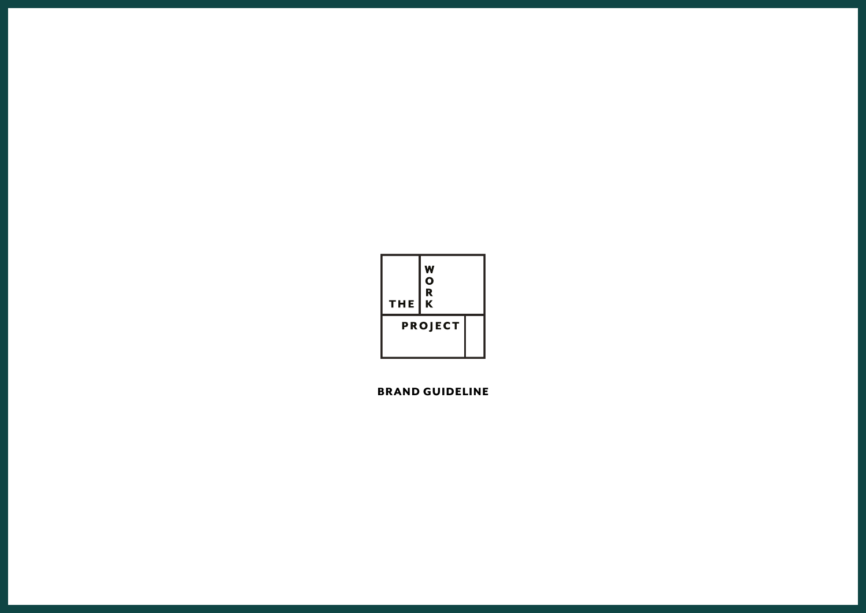| THE            | W<br>$\ddot{\mathbf{o}}$<br>$\bar{\mathbf{R}}$<br>K |  |
|----------------|-----------------------------------------------------|--|
| <b>PROJECT</b> |                                                     |  |

BRAND GUIDELINE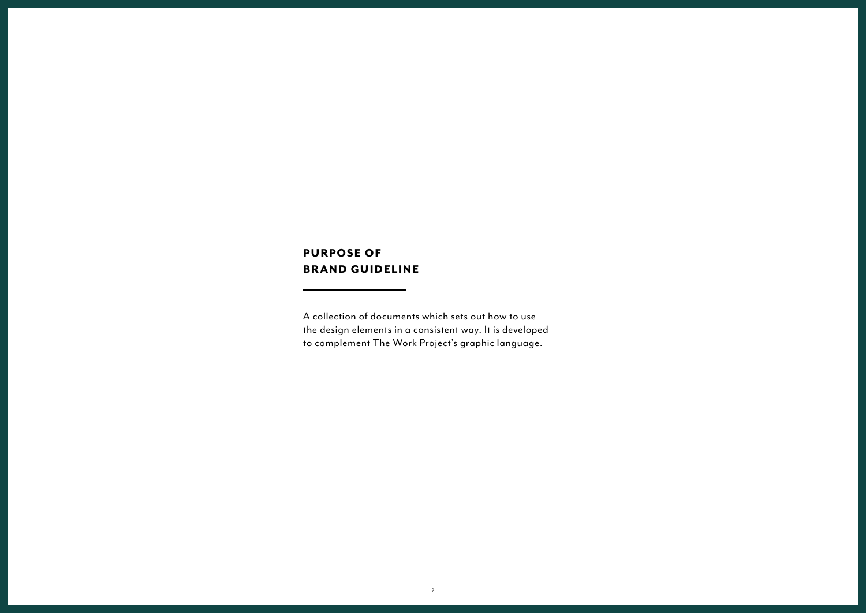#### PURPOSE OF BRAND GUIDELINE

A collection of documents which sets out how to use the design elements in a consistent way. It is developed to complement The Work Project's graphic language.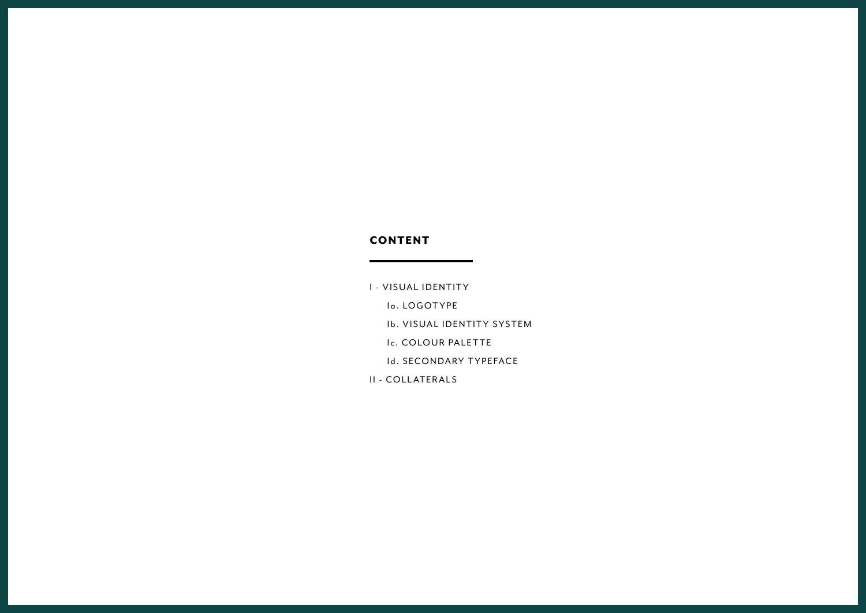#### CONTENT

I - VISUAL IDENTITY

Ia. LOGOTYPE

Ib. VISUAL IDENTITY SYSTEM

Ic. COLOUR PALETTE

Id. SECONDARY TYPEFACE

II - COLLATERALS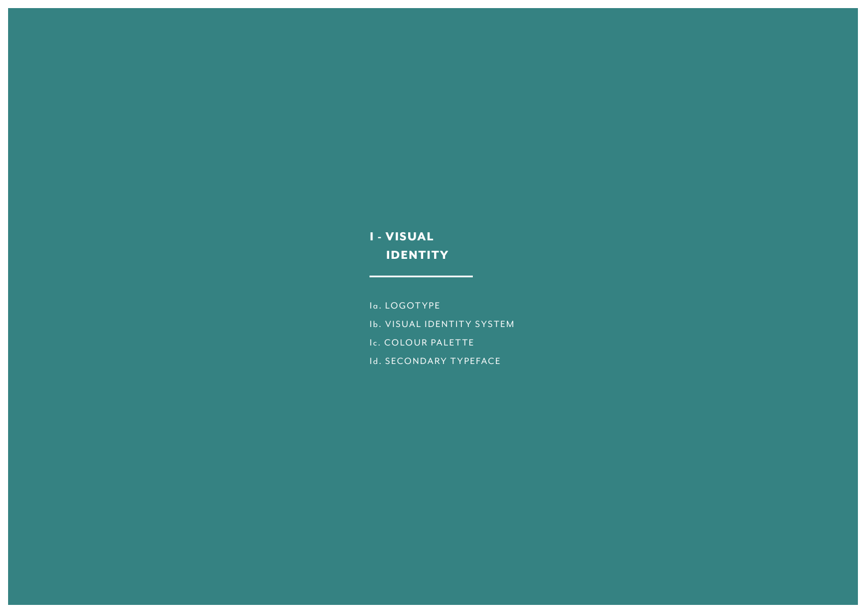### I - VISUAL **IDENTITY**

Ia. LOGOTYPE Ib. VISUAL IDENTITY SYSTEM Ic. COLOUR PALETTE Id. SECONDARY TYPEFACE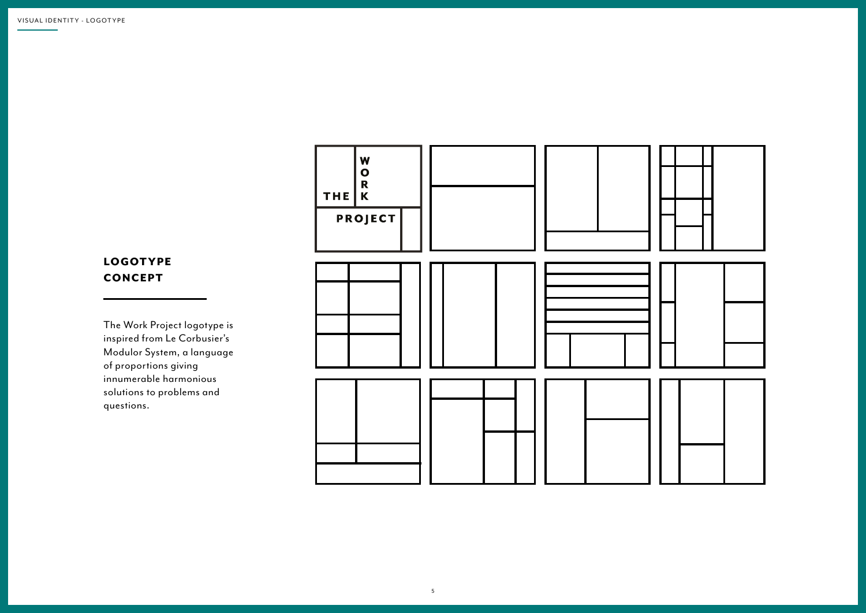#### LOGOTYPE CONCEPT

The Work Project logotype is inspired from Le Corbusier's Modulor System, a language of proportions giving innumerable harmonious solutions to problems and questions.

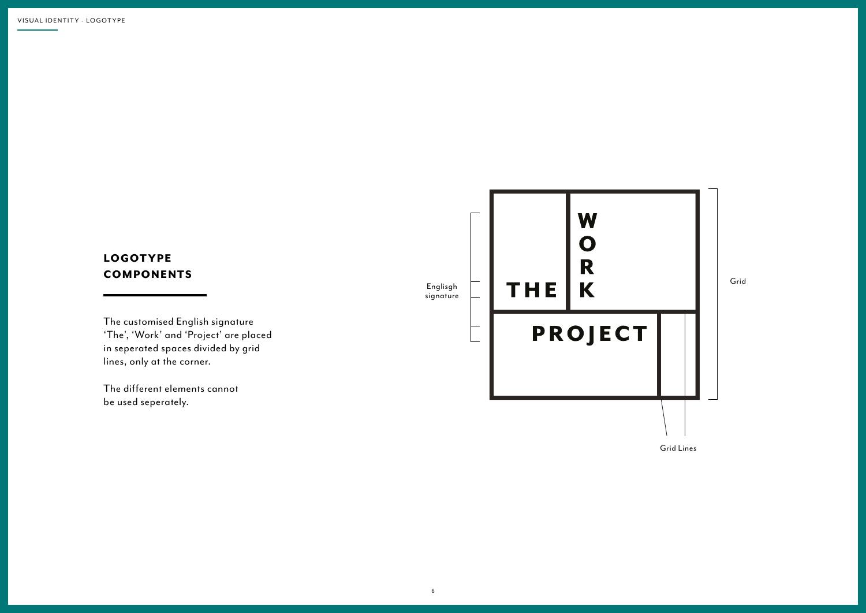#### LOGOTYPE **COMPONENTS**

The customised English signature 'The', 'Work' and 'Project' are placed in seperated spaces divided by grid lines, only at the corner.

The different elements cannot be used seperately.

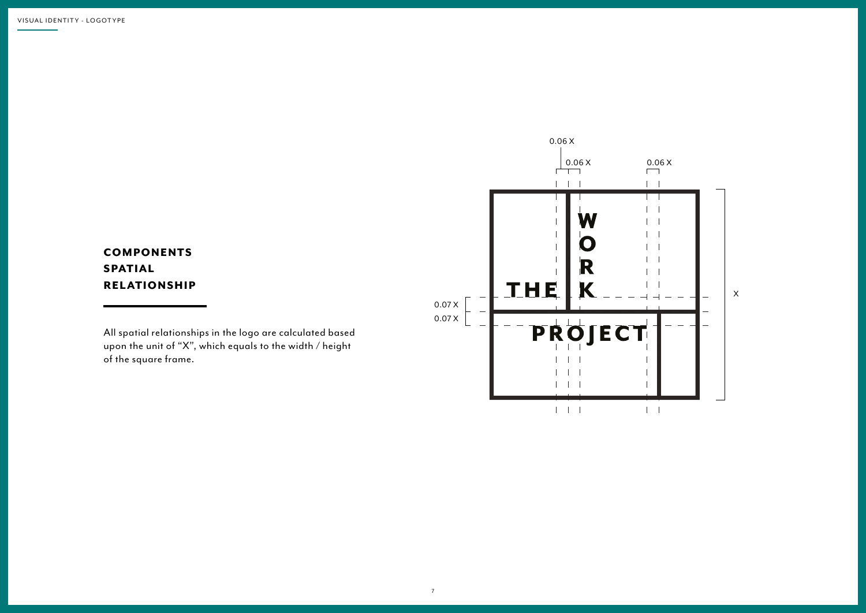#### **COMPONENTS** SPATIAL **RELATIONSHIP**

All spatial relationships in the logo are calculated based upon the unit of "X", which equals to the width / height of the square frame.

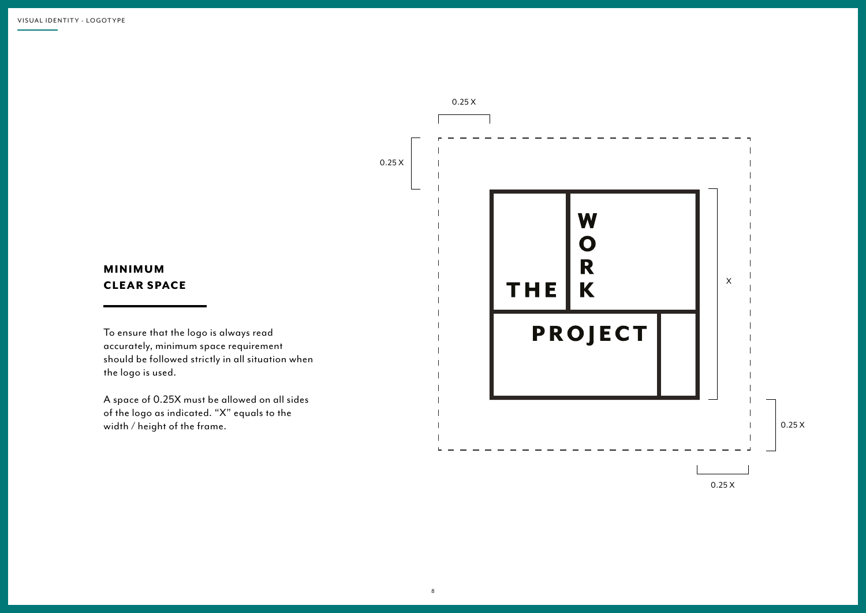## 0.25 X 0.25 X W  $\overline{\mathbf{O}}$ R MINIMUM X K CLEAR SPACE THE **PROJECT** To ensure that the logo is always read accurately, minimum space requirement should be followed strictly in all situation when the logo is used. A space of 0.25X must be allowed on all sides of the logo as indicated. "X" equals to the width / height of the frame. 0.25 X

0.25 X

#### 8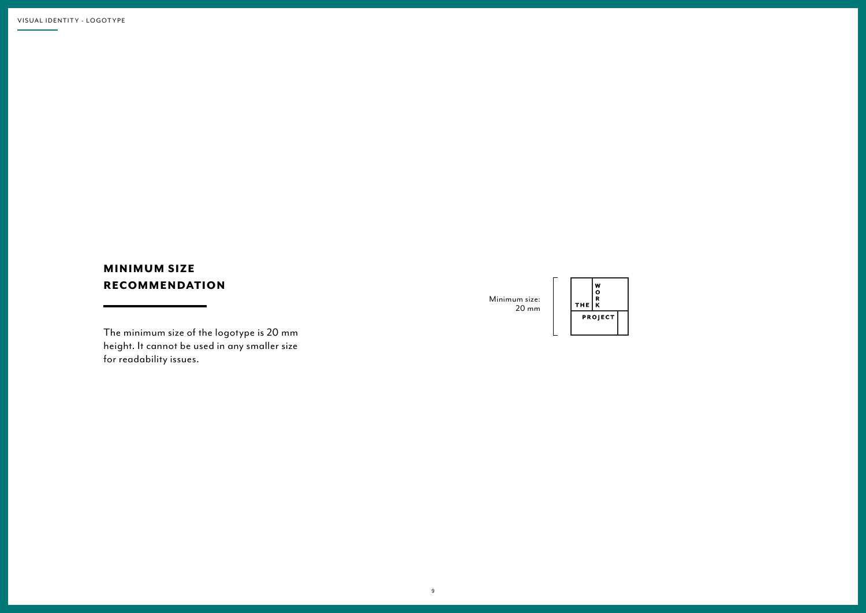#### MINIMUM SIZE RECOMMENDATION

The minimum size of the logotype is 20 mm height. It cannot be used in any smaller size for readability issues.

Minimum size: 20 mm

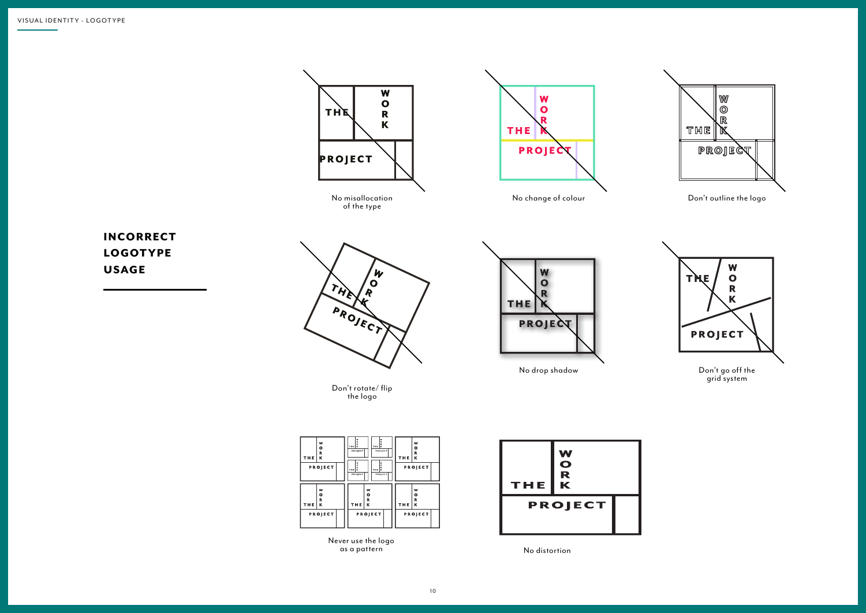INCORRECT **LOGOTYPE** USAGE



| w<br>o<br>R<br>K<br>THE<br>PROJECT | õ<br>õ<br>R<br>٠<br>THE K<br>THE K<br>PROJECT<br>PROJECT<br>o<br>THE<br>THE K<br>PROJECT<br>PROJECT | w<br>۰<br>R<br>K<br>THE<br>PROJECT |
|------------------------------------|-----------------------------------------------------------------------------------------------------|------------------------------------|
| w                                  | W                                                                                                   | w                                  |
| o                                  | $\circ$                                                                                             | o                                  |
| R                                  | R                                                                                                   | R                                  |
| THE                                | THE                                                                                                 | THE                                |
| К                                  | к                                                                                                   | K                                  |
| PROJECT                            | PROJECT                                                                                             | PROJECT                            |

Never use the logo as a pattern



No distortion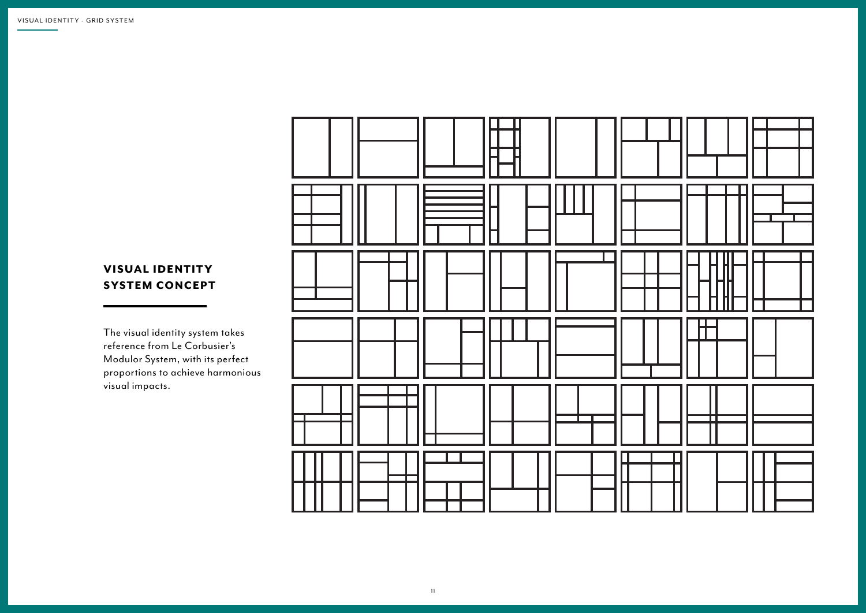#### **VISUAL IDENTITY SYSTEM CONCEPT**

The visual identity system takes reference from Le Corbusier's Modulor System, with its perfect proportions to achieve harmonious visual impacts.

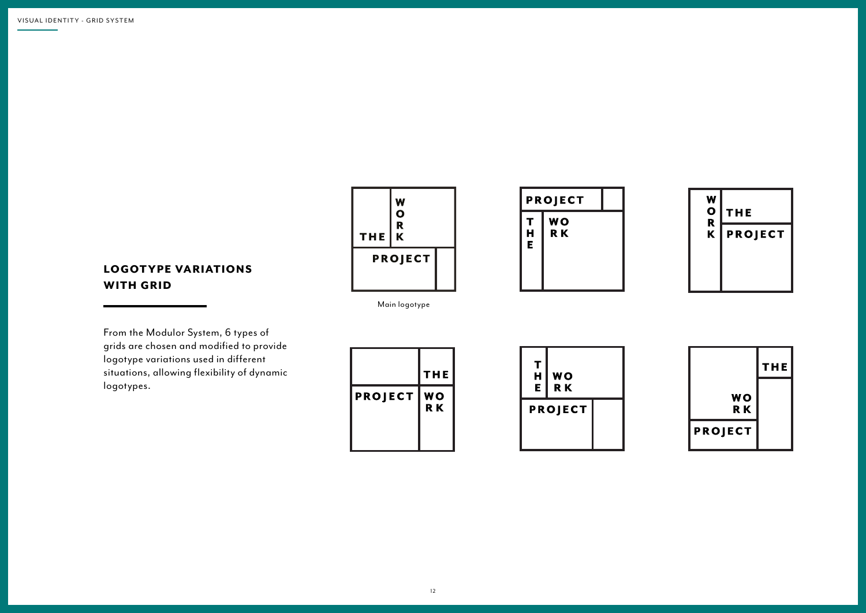### LOGOTYPE VARIATIONS WITH GRID







Main logotype

From the Modulor System, 6 types of grids are chosen and modified to provide logotype variations used in different situations, allowing flexibility of dynamic logotypes.





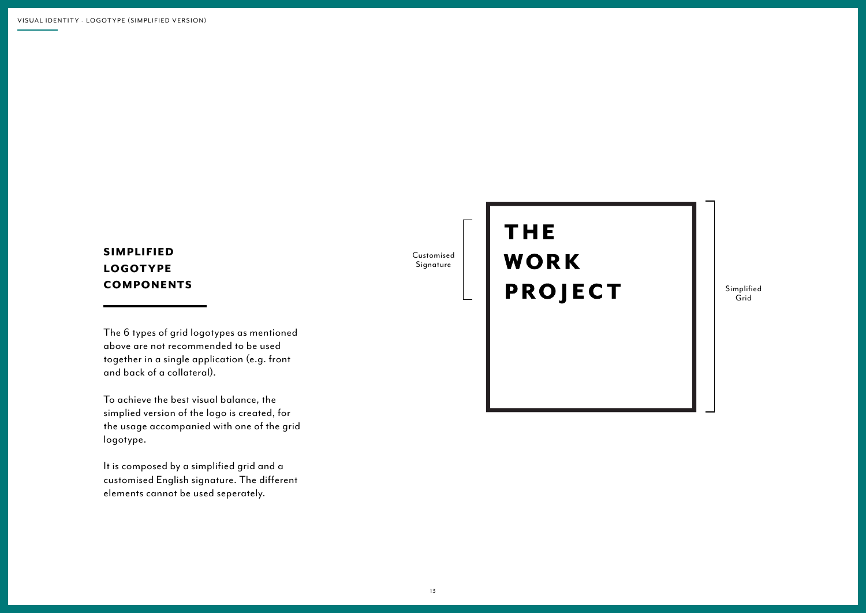#### SIMPLIFIED LOGOTYPE **COMPONENTS**

The 6 types of grid logotypes as mentioned above are not recommended to be used together in a single application (e.g. front and back of a collateral).

To achieve the best visual balance, the simplied version of the logo is created, for the usage accompanied with one of the grid logotype.

It is composed by a simplified grid and a customised English signature. The different elements cannot be used seperately.

Customised Signature

# WORK<br>PROJECT

**THE** 

Simplified Grid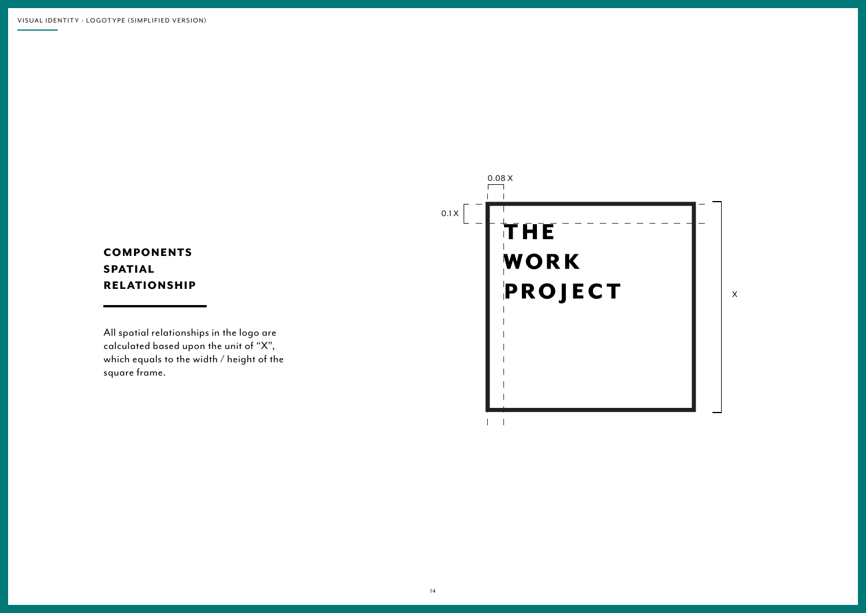#### **COMPONENTS** SPATIAL **RELATIONSHIP**

All spatial relationships in the logo are calculated based upon the unit of "X", which equals to the width / height of the square frame.

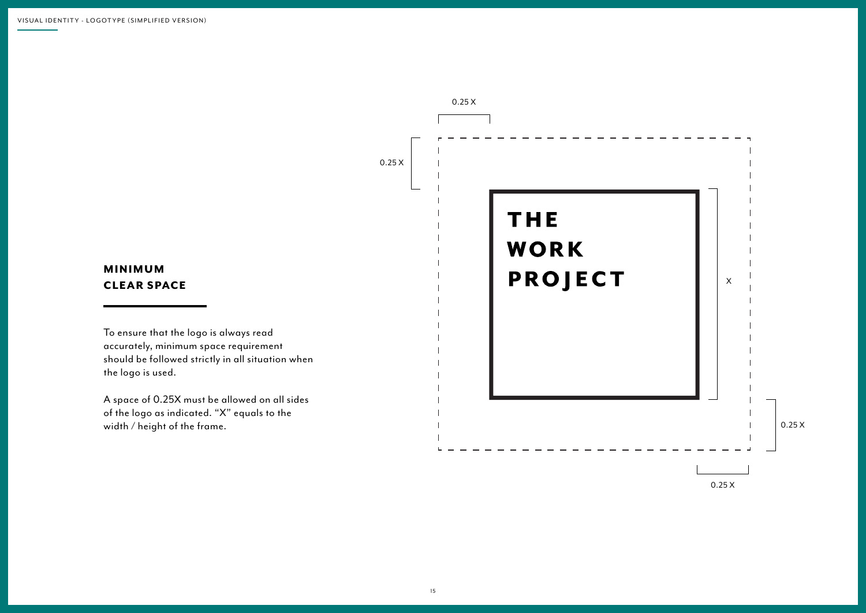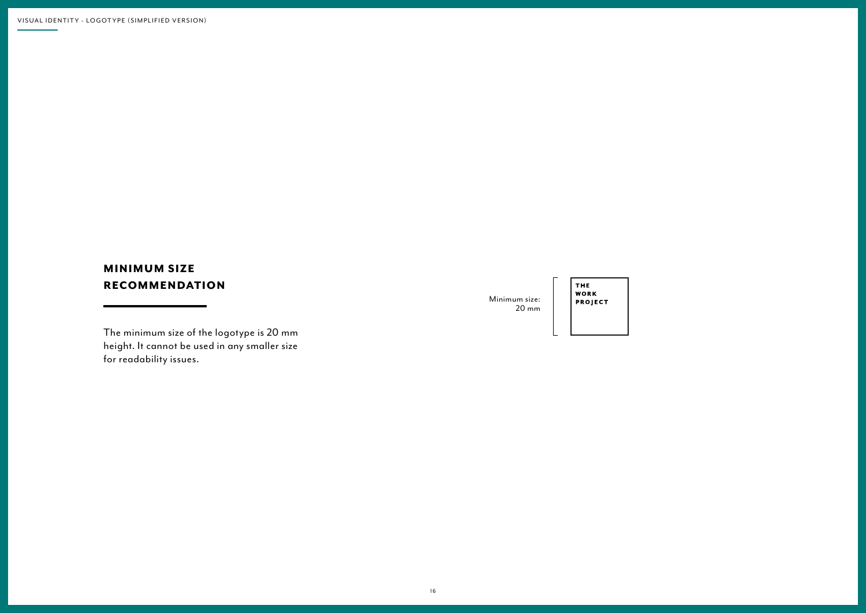#### MINIMUM SIZE RECOMMENDATION

The minimum size of the logotype is 20 mm height. It cannot be used in any smaller size for readability issues.

Minimum size:  $20 \text{ mm}$ 

# THE<br>WORK<br>PROJECT

 $16\,$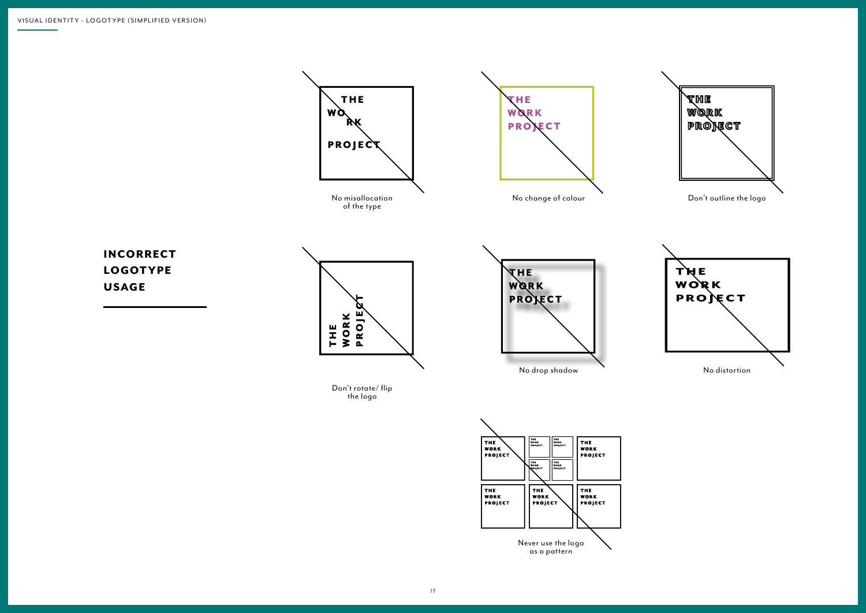



| THE<br>WORK<br><b>PROJECT</b> | THE<br><b>THE</b><br>WORK<br>WORK<br>PROJECT<br>PROJECT | THE<br>WORK<br>PROJECT |
|-------------------------------|---------------------------------------------------------|------------------------|
|                               | THE<br>THE<br>WORK<br>WORK<br>PROJECT<br>PROJECT        |                        |
| THE<br>WORK<br><b>PROJECT</b> | THE<br>WORK<br><b>PROJECT</b>                           | THE<br>WORK<br>PROJECT |
|                               |                                                         |                        |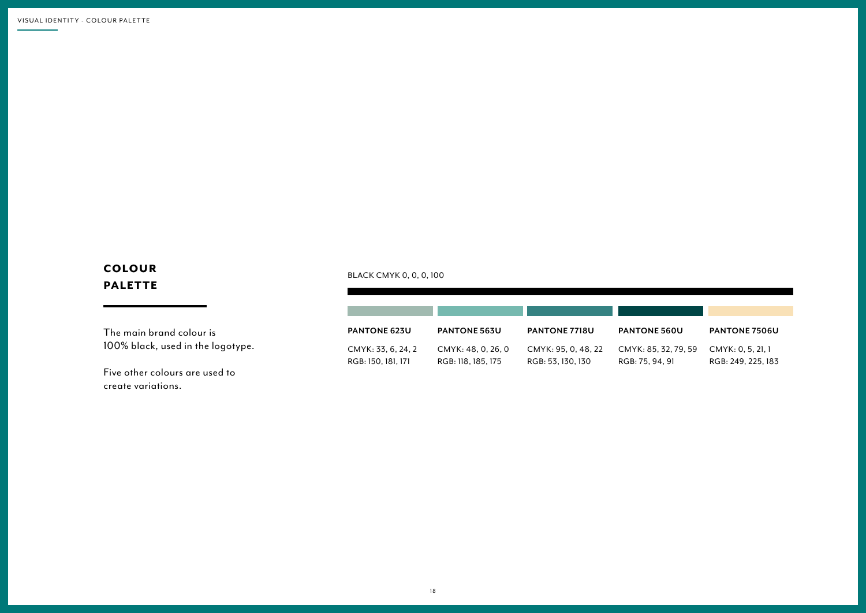#### **COLOUR** PALETTE

The main brand colour is 100% black, used in the logotype.

Five other colours are used to create variations.

#### BLACK CMYK 0, 0, 0, 100

| <b>PANTONE 623U</b> | <b>PANTONE 563U</b> | <b>PANTONE 7718U</b> | <b>PANTONE 560U</b>  | <b>PANTONE 7506U</b> |
|---------------------|---------------------|----------------------|----------------------|----------------------|
| CMYK: 33, 6, 24, 2  | CMYK: 48, 0, 26, 0  | CMYK: 95, 0, 48, 22  | CMYK: 85, 32, 79, 59 | CMYK: 0.5.21.1       |
| RGB: 150, 181, 171  | RGB: 118, 185, 175  | RGB: 53, 130, 130    | RGB: 75, 94, 91      | RGB: 249, 225, 183   |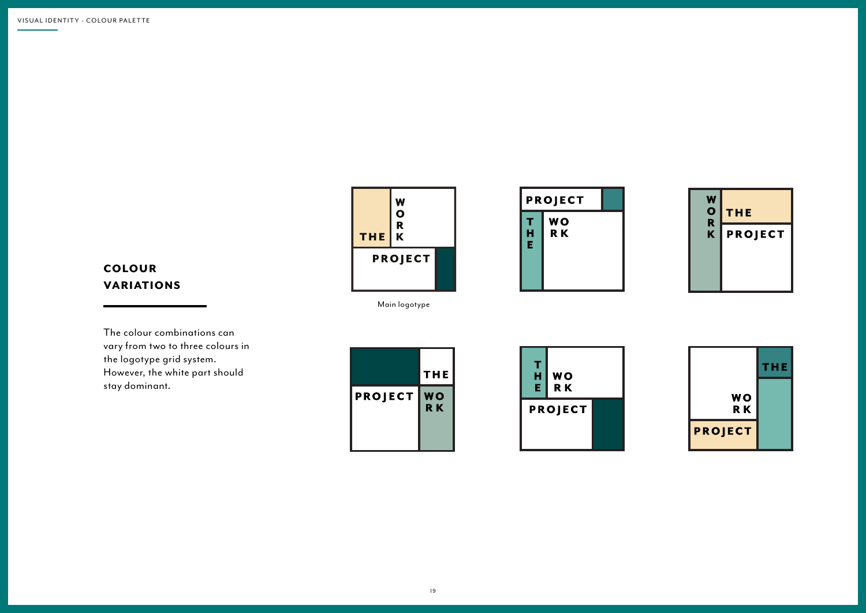#### **COLOUR** VARIATIONS

The colour combinations can vary from two to three colours in the logotype grid system. However, the white part should stay dominant.



PROJECT  $\mathbf T$ **WO**  $\frac{H}{E}$ **RK** 



Main logotype





|                | THE |
|----------------|-----|
| WO<br>RK       |     |
| <b>PROJECT</b> |     |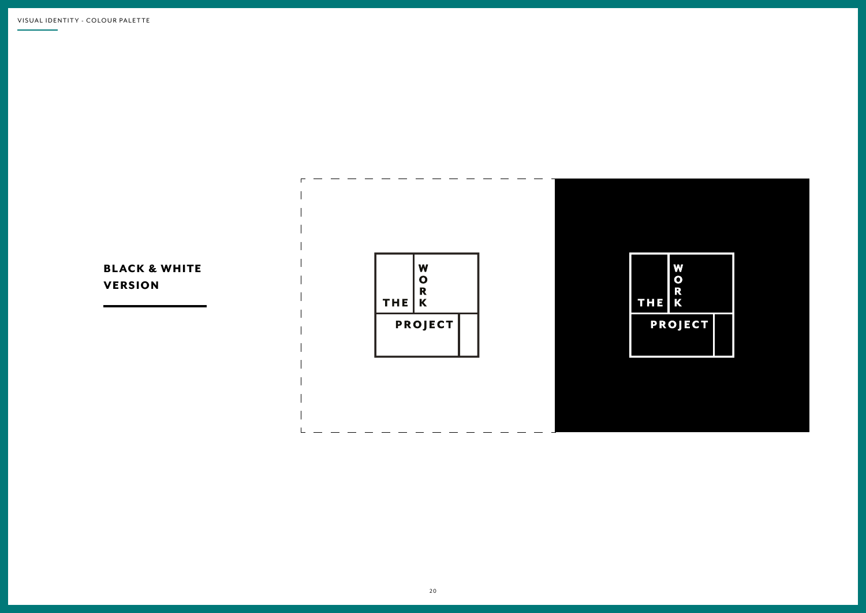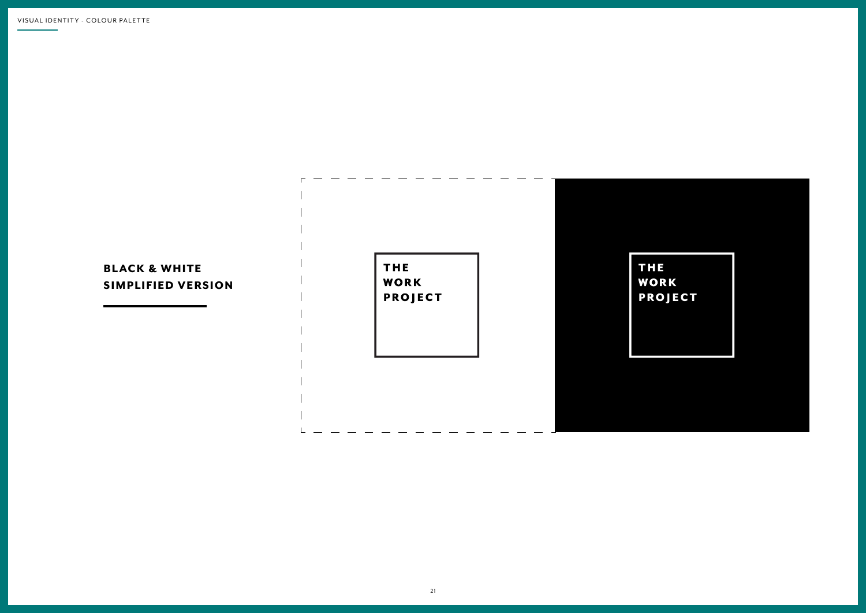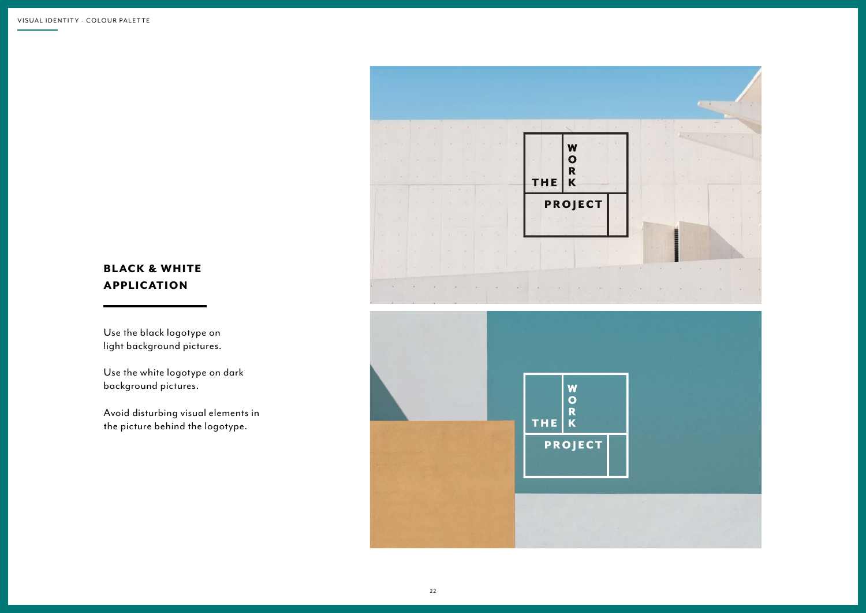#### BLACK & WHITE APPLICATION

Use the black logotype on light background pictures.

Use the white logotype on dark background pictures.

Avoid disturbing visual elements in the picture behind the logotype.



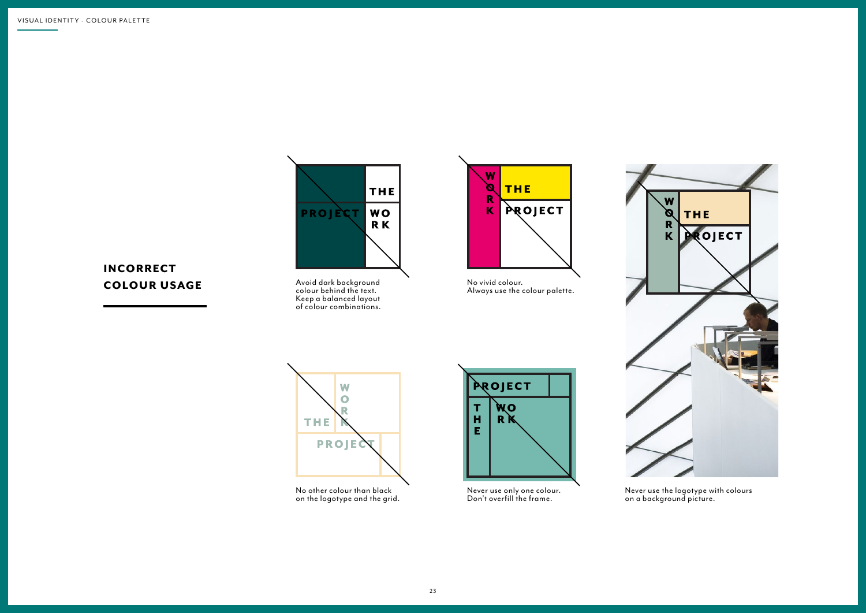

#### INCORRECT **COLOUR USAGE** Avoid dark background<br>
colour behind the text.

Keep a balanced layout of colour combinations.



No vivid colour. Always use the colour palette.



Never use the logotype with colours on a background picture.



No other colour than black on the logotype and the grid.

Never use only one colour. Don't overfill the frame.

PROJECT

 $\mathbf{R}$ 

 $\Omega$ 

т

 $H$ 

E.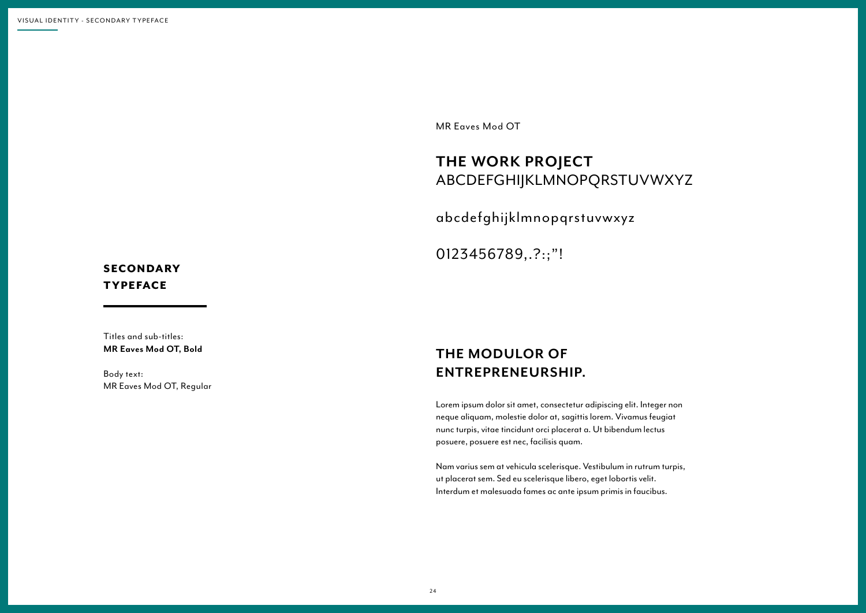MR Eaves Mod OT

### **THE WORK PROJECT** ABCDEFGHIJKLMNOPQRSTUVWXYZ

abcdefghijklmnopqrstuvwxyz

0123456789,.?:;"!

#### **SECONDARY** TYPEFACE

Titles and sub-titles: **MR Eaves Mod OT, Bold**

Body text: MR Eaves Mod OT, Regular

#### **THE MODULOR OF ENTREPRENEURSHIP.**

Lorem ipsum dolor sit amet, consectetur adipiscing elit. Integer non neque aliquam, molestie dolor at, sagittis lorem. Vivamus feugiat nunc turpis, vitae tincidunt orci placerat a. Ut bibendum lectus posuere, posuere est nec, facilisis quam.

Nam varius sem at vehicula scelerisque. Vestibulum in rutrum turpis, ut placerat sem. Sed eu scelerisque libero, eget lobortis velit. Interdum et malesuada fames ac ante ipsum primis in faucibus.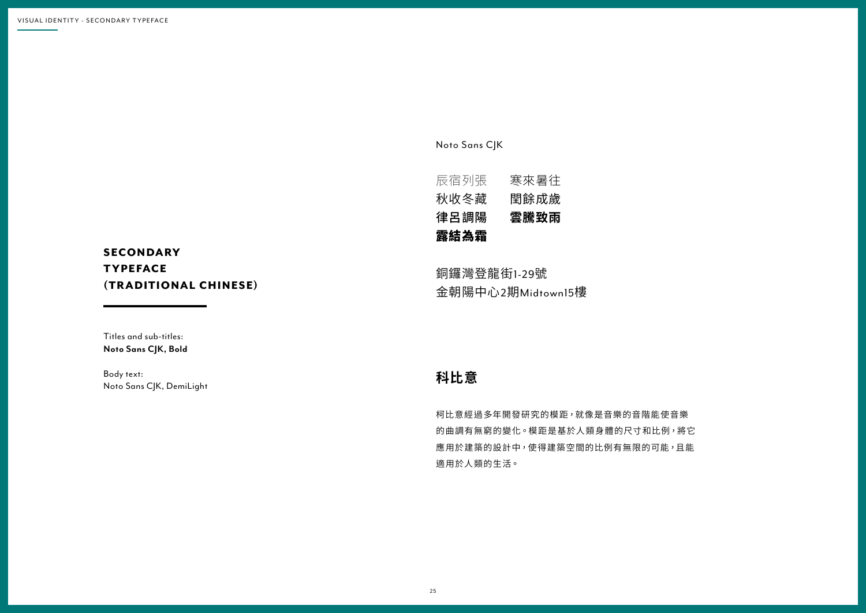**SECONDARY TYPEFACE** (TRADITIONAL CHINESE)

Titles and sub-titles: **Noto Sans CJK, Bold**

Body text: Noto Sans CJK, DemiLight Noto Sans CJK

| 露結為霜 |      |
|------|------|
| 律呂調陽 | 雲騰致雨 |
| 秋收冬藏 | 閏餘成歲 |
| 辰宿列張 | 寒來暑往 |

銅鑼灣登龍街1-29號 金朝陽中心2期Midtown15樓

#### **科比意**

柯比意經過多年開發研究的模距,就像是音樂的音階能使音樂 的曲調有無窮的變化。模距是基於人類身體的尺寸和比例,將它 應用於建築的設計中,使得建築空間的比例有無限的可能,且能 適用於人類的生活。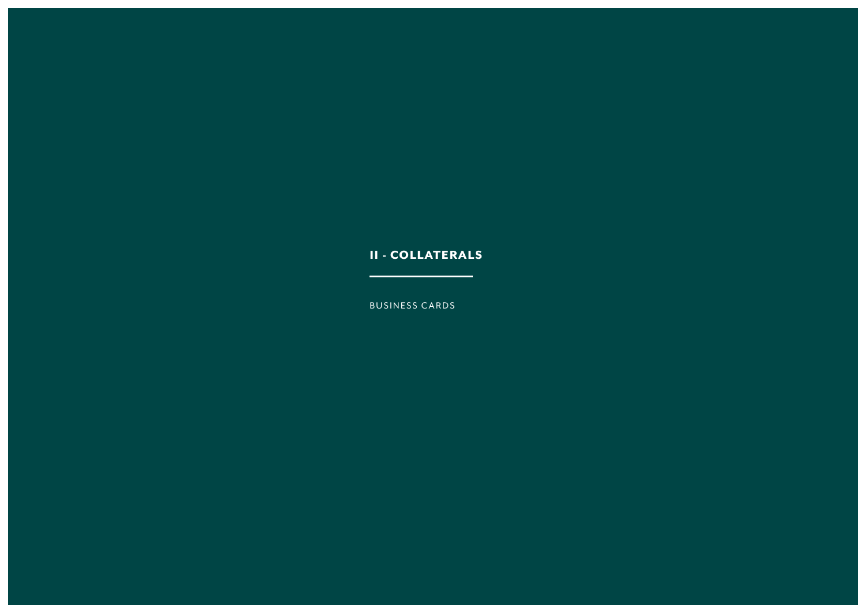#### II - COLLATERALS

**STATE** 

BUSINESS CARDS

÷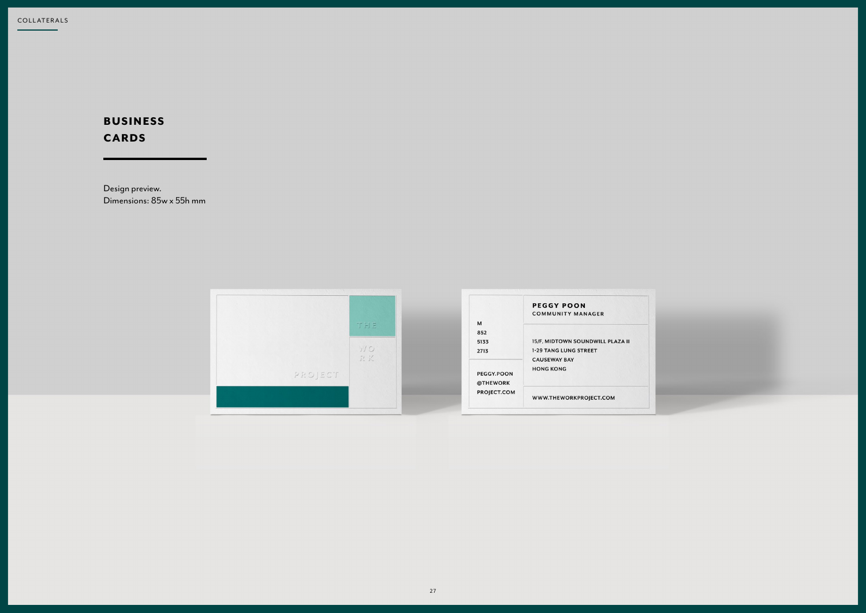#### BUSINESS CARDS

Design preview. Dimensions: 85w x 55h mm

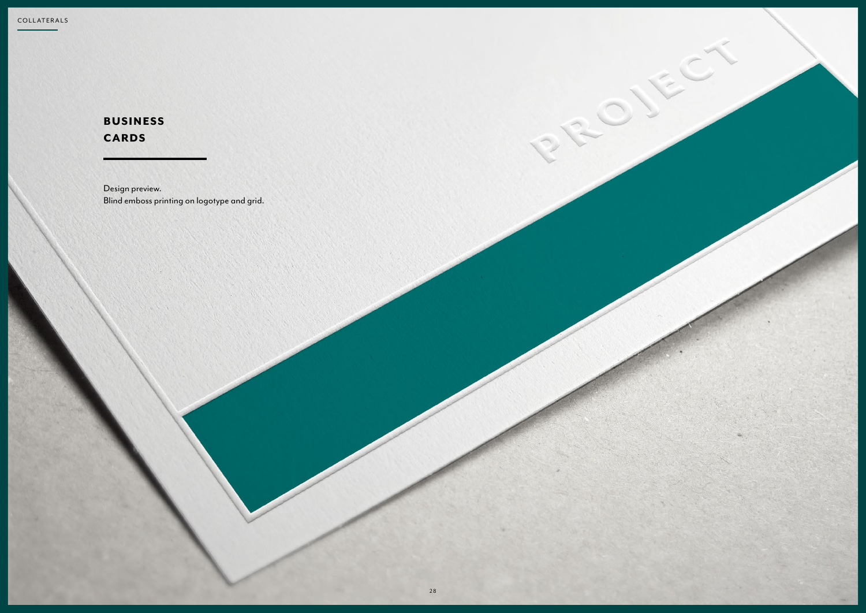#### BUSINESS CARDS

Design preview. Blind emboss printing on logotype and grid. AROVECT